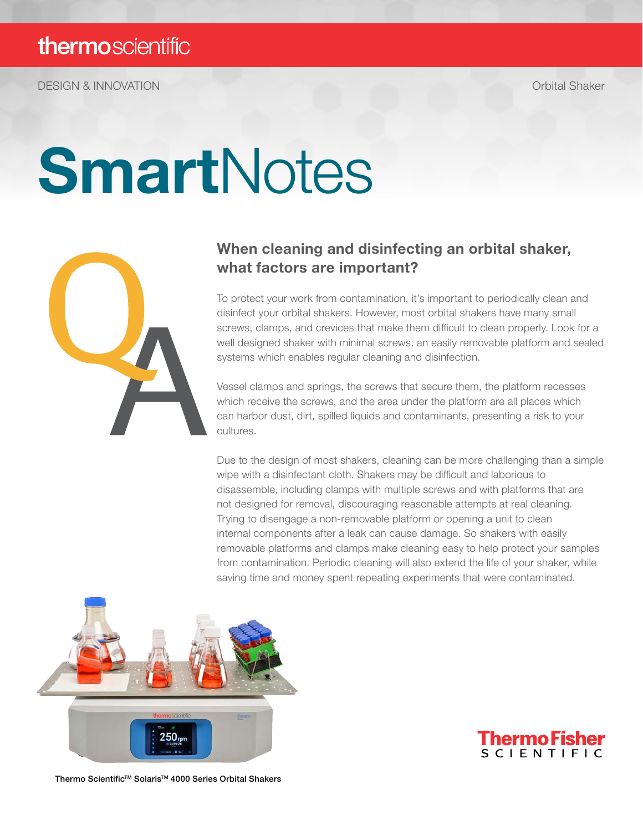DESIGN & INNOVATION Orbital Shaker

# SmartNotes



# When cleaning and disinfecting an orbital shaker, what factors are important?

To protect your work from contamination, it's important to periodically clean and disinfect your orbital shakers. However, most orbital shakers have many small screws, clamps, and crevices that make them difficult to clean properly. Look for a well designed shaker with minimal screws, an easily removable platform and sealed systems which enables regular cleaning and disinfection.

Vessel clamps and springs, the screws that secure them, the platform recesses which receive the screws, and the area under the platform are all places which can harbor dust, dirt, spilled liquids and contaminants, presenting a risk to your cultures.

Due to the design of most shakers, cleaning can be more challenging than a simple wipe with a disinfectant cloth. Shakers may be difficult and laborious to disassemble, including clamps with multiple screws and with platforms that are not designed for removal, discouraging reasonable attempts at real cleaning. Trying to disengage a non-removable platform or opening a unit to clean internal components after a leak can cause damage. So shakers with easily removable platforms and clamps make cleaning easy to help protect your samples from contamination. Periodic cleaning will also extend the life of your shaker, while saving time and money spent repeating experiments that were contaminated.





Thermo Scientific™ Solaris<sup>™</sup> 4000 Series Orbital Shakers